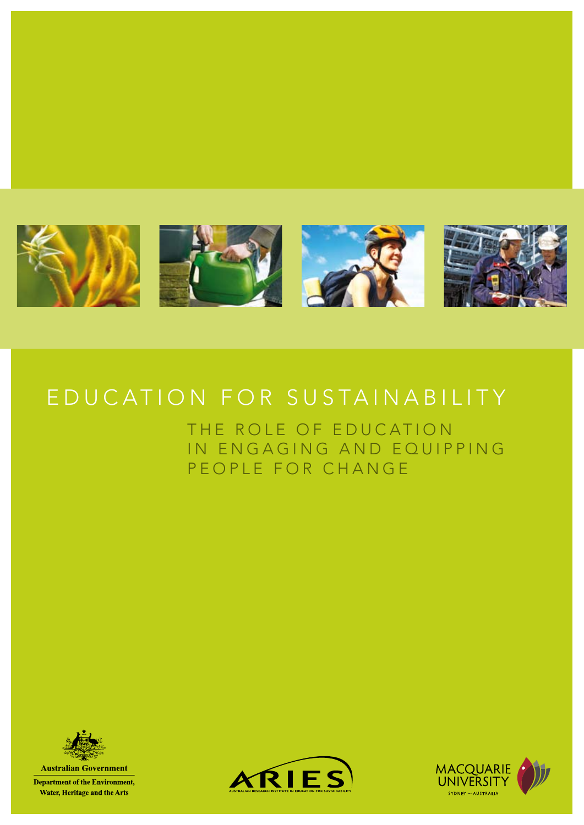

# EDUCATION FOR SUSTAINABILITY

THE ROLE OF EDUCATION IN ENGAGING AND EQUIPPING PEOPLE FOR CHANGE



**Department of the Environment,** Water, Heritage and the Arts



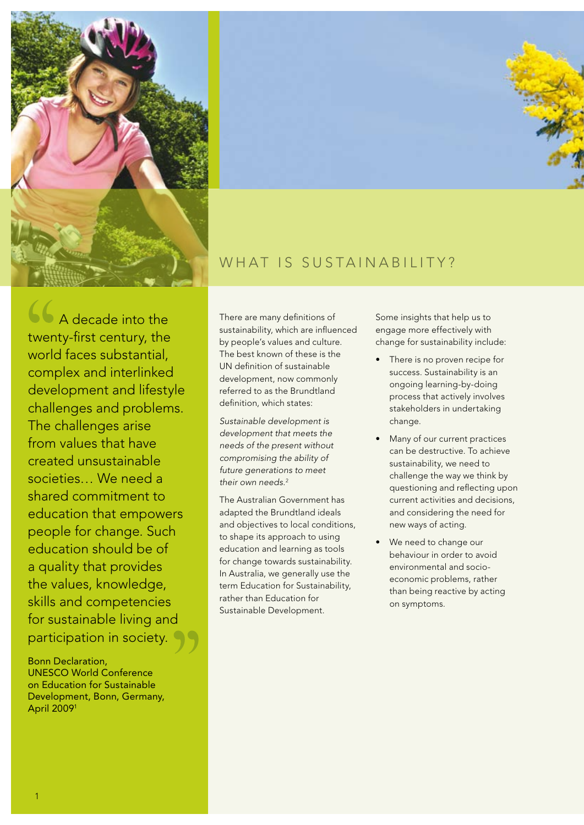



# WHAT IS SUSTAINABILITY?

**66** A decade into the twenty-first century, the world faces substantial, complex and interlinked development and lifestyle challenges and problems. The challenges arise from values that have created unsustainable societies… We need a shared commitment to education that empowers people for change. Such education should be of a quality that provides the values, knowledge, skills and competencies for sustainable living and participation in society.

Bonn Declaration, UNESCO World Conference on Education for Sustainable Development, Bonn, Germany, April 20091

There are many definitions of sustainability, which are influenced by people's values and culture. The best known of these is the UN definition of sustainable development, now commonly referred to as the Brundtland definition, which states:

*Sustainable development is development that meets the needs of the present without compromising the ability of future generations to meet their own needs*. 2

The Australian Government has adapted the Brundtland ideals and objectives to local conditions, to shape its approach to using education and learning as tools for change towards sustainability. In Australia, we generally use the term Education for Sustainability, rather than Education for Sustainable Development.

Some insights that help us to engage more effectively with change for sustainability include:

- There is no proven recipe for success. Sustainability is an ongoing learning-by-doing process that actively involves stakeholders in undertaking change.
- Many of our current practices can be destructive. To achieve sustainability, we need to challenge the way we think by questioning and reflecting upon current activities and decisions, and considering the need for new ways of acting.
- We need to change our behaviour in order to avoid environmental and socioeconomic problems, rather than being reactive by acting on symptoms.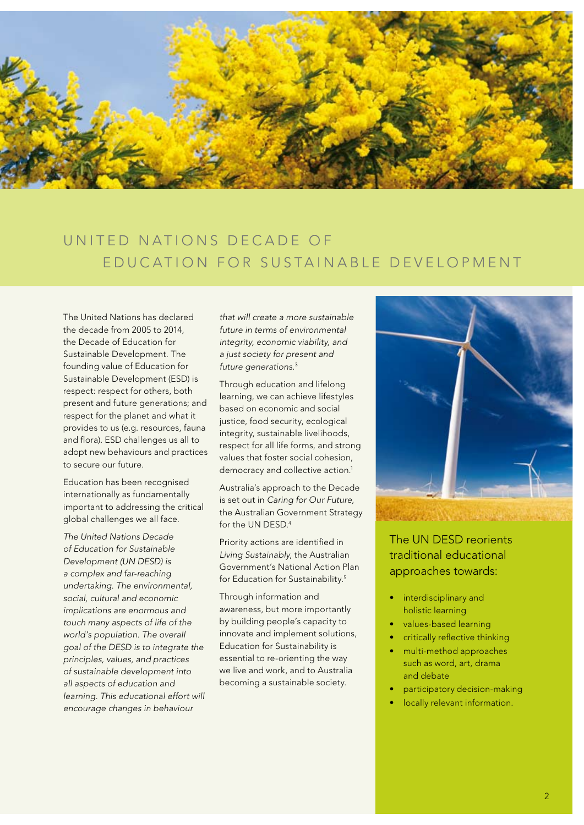

# UNITED NATIONS DECADE OF EDUCATION FOR SUSTAINABLE DEVELOPMENT

The United Nations has declared the decade from 2005 to 2014, the Decade of Education for Sustainable Development. The founding value of Education for Sustainable Development (ESD) is respect: respect for others, both present and future generations; and respect for the planet and what it provides to us (e.g. resources, fauna and flora). ESD challenges us all to adopt new behaviours and practices to secure our future.

Education has been recognised internationally as fundamentally important to addressing the critical global challenges we all face.

*The United Nations Decade of Education for Sustainable Development (UN DESD) is a complex and far-reaching undertaking. The environmental, social, cultural and economic implications are enormous and touch many aspects of life of the world's population. The overall goal of the DESD is to integrate the principles, values, and practices of sustainable development into all aspects of education and learning. This educational effort will encourage changes in behaviour* 

*that will create a more sustainable future in terms of environmental integrity, economic viability, and a just society for present and future generations*. 3

Through education and lifelong learning, we can achieve lifestyles based on economic and social justice, food security, ecological integrity, sustainable livelihoods, respect for all life forms, and strong values that foster social cohesion, democracy and collective action.<sup>1</sup>

Australia's approach to the Decade is set out in *Caring for Our Future*, the Australian Government Strategy for the UN DESD.4

Priority actions are identified in *Living Sustainably*, the Australian Government's National Action Plan for Education for Sustainability.<sup>5</sup>

Through information and awareness, but more importantly by building people's capacity to innovate and implement solutions, Education for Sustainability is essential to re-orienting the way we live and work, and to Australia becoming a sustainable society.



The UN DESD reorients traditional educational approaches towards:

- interdisciplinary and holistic learning
- values-based learning
- critically reflective thinking
- multi-method approaches such as word, art, drama and debate
- participatory decision-making
- locally relevant information.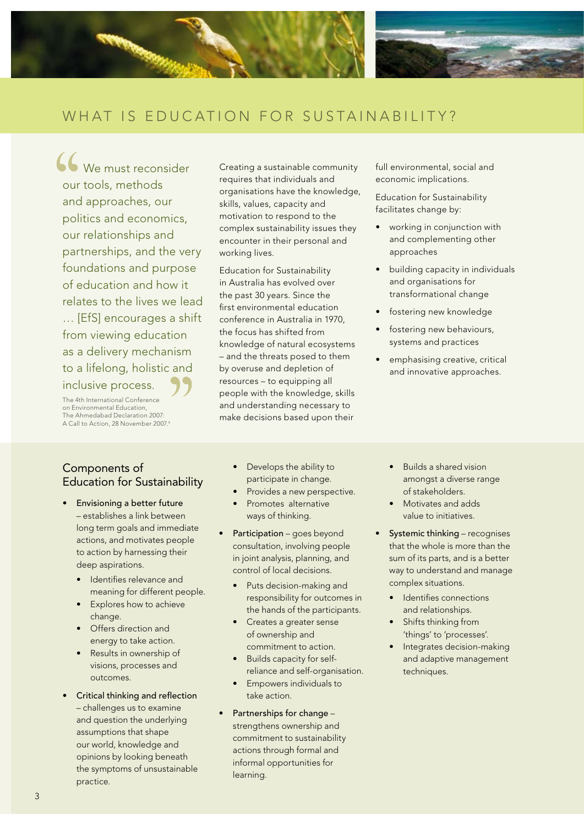

 $66$  We must reconsider our tools, methods and approaches, our politics and economics, our relationships and partnerships, and the very foundations and purpose of education and how it relates to the lives we lead … [EfS] encourages a shift from viewing education as a delivery mechanism to a lifelong, holistic and inclusive process.

The 4th International Conference on Environmental Education, The Ahmedabad Declaration 2007: A Call to Action, 28 November 2007.<sup>6</sup> Creating a sustainable community requires that individuals and organisations have the knowledge, skills, values, capacity and motivation to respond to the complex sustainability issues they encounter in their personal and working lives.

Education for Sustainability in Australia has evolved over the past 30 years. Since the first environmental education conference in Australia in 1970, the focus has shifted from knowledge of natural ecosystems – and the threats posed to them by overuse and depletion of resources – to equipping all people with the knowledge, skills and understanding necessary to make decisions based upon their

full environmental, social and economic implications.

Education for Sustainability facilitates change by:

- working in conjunction with and complementing other approaches
- building capacity in individuals and organisations for transformational change
- • fostering new knowledge
- fostering new behaviours, systems and practices
- emphasising creative, critical and innovative approaches.

### Components of Education for Sustainability

- Envisioning a better future – establishes a link between long term goals and immediate actions, and motivates people to action by harnessing their deep aspirations.
	- • Identifies relevance and meaning for different people.
	- Explores how to achieve change.
	- • Offers direction and energy to take action.
	- Results in ownership of visions, processes and outcomes.
- **Critical thinking and reflection** – challenges us to examine and question the underlying assumptions that shape our world, knowledge and opinions by looking beneath the symptoms of unsustainable practice.
- Develops the ability to participate in change.
- Provides a new perspective.
- Promotes alternative ways of thinking.
- Participation goes beyond consultation, involving people in joint analysis, planning, and control of local decisions.
	- Puts decision-making and responsibility for outcomes in the hands of the participants.
	- • Creates a greater sense of ownership and commitment to action.
	- Builds capacity for selfreliance and self-organisation.
	- Empowers individuals to take action.
- Partnerships for change strengthens ownership and commitment to sustainability actions through formal and informal opportunities for learning.
- • Builds a shared vision amongst a diverse range of stakeholders.
- • Motivates and adds value to initiatives.
- **Systemic thinking** recognises that the whole is more than the sum of its parts, and is a better way to understand and manage complex situations.
	- • Identifies connections and relationships.
	- Shifts thinking from 'things' to 'processes'.
	- Integrates decision-making and adaptive management techniques.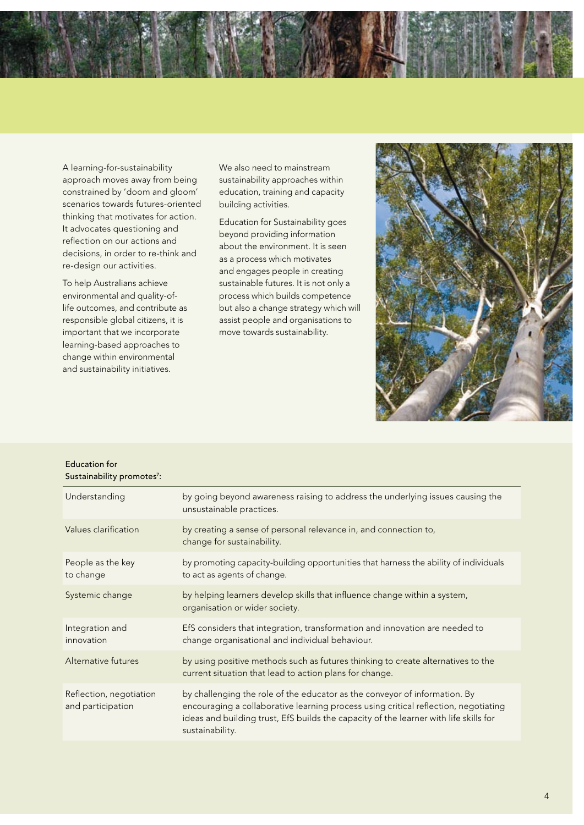

A learning-for-sustainability approach moves away from being constrained by 'doom and gloom' scenarios towards futures-oriented thinking that motivates for action. It advocates questioning and reflection on our actions and decisions, in order to re-think and re-design our activities.

To help Australians achieve environmental and quality-oflife outcomes, and contribute as responsible global citizens, it is important that we incorporate learning-based approaches to change within environmental and sustainability initiatives.

Education for

We also need to mainstream sustainability approaches within education, training and capacity building activities.

Education for Sustainability goes beyond providing information about the environment. It is seen as a process which motivates and engages people in creating sustainable futures. It is not only a process which builds competence but also a change strategy which will assist people and organisations to move towards sustainability.



| by going beyond awareness raising to address the underlying issues causing the<br>unsustainable practices.                                                                                                                                                                    |
|-------------------------------------------------------------------------------------------------------------------------------------------------------------------------------------------------------------------------------------------------------------------------------|
| by creating a sense of personal relevance in, and connection to,<br>change for sustainability.                                                                                                                                                                                |
| by promoting capacity-building opportunities that harness the ability of individuals<br>to act as agents of change.                                                                                                                                                           |
| by helping learners develop skills that influence change within a system,<br>organisation or wider society.                                                                                                                                                                   |
| EfS considers that integration, transformation and innovation are needed to<br>change organisational and individual behaviour.                                                                                                                                                |
| by using positive methods such as futures thinking to create alternatives to the<br>current situation that lead to action plans for change.                                                                                                                                   |
| by challenging the role of the educator as the conveyor of information. By<br>encouraging a collaborative learning process using critical reflection, negotiating<br>ideas and building trust, EfS builds the capacity of the learner with life skills for<br>sustainability. |
|                                                                                                                                                                                                                                                                               |

4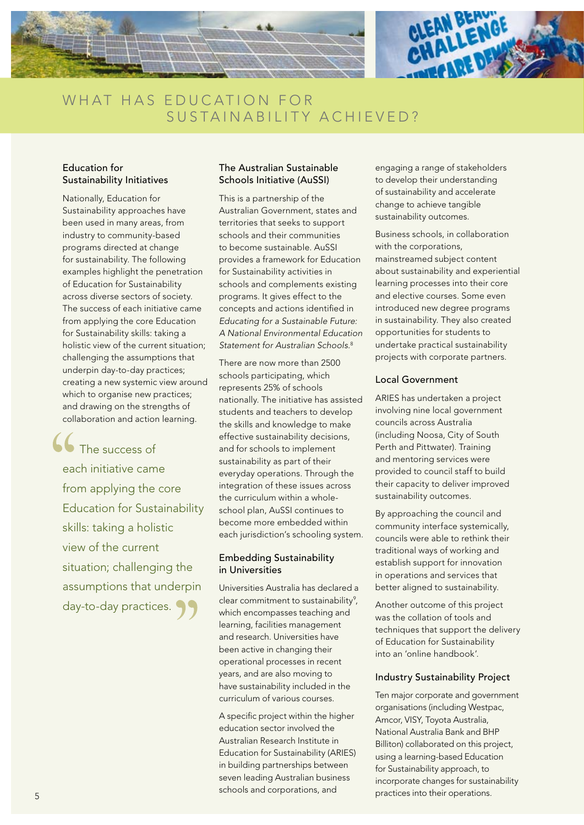

## WHAT HAS EDUCATION FOR SUSTAINABILITY ACHIEVED?

#### Education for Sustainability Initiatives

Nationally, Education for Sustainability approaches have been used in many areas, from industry to community-based programs directed at change for sustainability. The following examples highlight the penetration of Education for Sustainability across diverse sectors of society. The success of each initiative came from applying the core Education for Sustainability skills: taking a holistic view of the current situation; challenging the assumptions that underpin day-to-day practices; creating a new systemic view around which to organise new practices; and drawing on the strengths of collaboration and action learning.

The success of each initiative came from applying the core Education for Sustainability skills: taking a holistic view of the current situation; challenging the assumptions that underpin day-to-day practices. 99

#### The Australian Sustainable Schools Initiative (AuSSI)

This is a partnership of the Australian Government, states and territories that seeks to support schools and their communities to become sustainable. AuSSI provides a framework for Education for Sustainability activities in schools and complements existing programs. It gives effect to the concepts and actions identified in *Educating for a Sustainable Future: A National Environmental Education Statement for Australian Schools.*<sup>8</sup>

There are now more than 2500 schools participating, which represents 25% of schools nationally. The initiative has assisted students and teachers to develop the skills and knowledge to make effective sustainability decisions, and for schools to implement sustainability as part of their everyday operations. Through the integration of these issues across the curriculum within a wholeschool plan, AuSSI continues to become more embedded within each jurisdiction's schooling system.

#### Embedding Sustainability in Universities

Universities Australia has declared a clear commitment to sustainability<sup>9</sup>, which encompasses teaching and learning, facilities management and research. Universities have been active in changing their operational processes in recent years, and are also moving to have sustainability included in the curriculum of various courses.

A specific project within the higher education sector involved the Australian Research Institute in Education for Sustainability (ARIES) in building partnerships between seven leading Australian business schools and corporations, and

engaging a range of stakeholders to develop their understanding of sustainability and accelerate change to achieve tangible sustainability outcomes.

Business schools, in collaboration with the corporations, mainstreamed subject content about sustainability and experiential learning processes into their core and elective courses. Some even introduced new degree programs in sustainability. They also created opportunities for students to undertake practical sustainability projects with corporate partners.

#### Local Government

ARIES has undertaken a project involving nine local government councils across Australia (including Noosa, City of South Perth and Pittwater). Training and mentoring services were provided to council staff to build their capacity to deliver improved sustainability outcomes.

By approaching the council and community interface systemically, councils were able to rethink their traditional ways of working and establish support for innovation in operations and services that better aligned to sustainability.

Another outcome of this project was the collation of tools and techniques that support the delivery of Education for Sustainability into an 'online handbook'.

#### Industry Sustainability Project

Ten major corporate and government organisations (including Westpac, Amcor, VISY, Toyota Australia, National Australia Bank and BHP Billiton) collaborated on this project, using a learning-based Education for Sustainability approach, to incorporate changes for sustainability practices into their operations.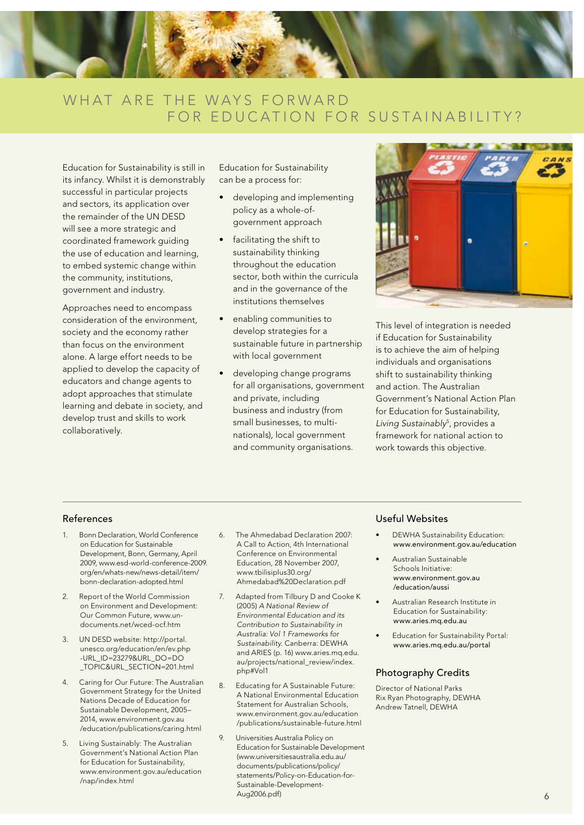

## WHAT ARE THE WAYS FORWARD FOR EDUCATION FOR SUSTAINABILITY?

Education for Sustainability is still in its infancy. Whilst it is demonstrably successful in particular projects and sectors, its application over the remainder of the UN DESD will see a more strategic and coordinated framework guiding the use of education and learning, to embed systemic change within the community, institutions, government and industry.

Approaches need to encompass consideration of the environment, society and the economy rather than focus on the environment alone. A large effort needs to be applied to develop the capacity of educators and change agents to adopt approaches that stimulate learning and debate in society, and develop trust and skills to work collaboratively.

Education for Sustainability can be a process for:

- developing and implementing policy as a whole-ofgovernment approach
- • facilitating the shift to sustainability thinking throughout the education sector, both within the curricula and in the governance of the institutions themselves
- enabling communities to develop strategies for a sustainable future in partnership with local government
- developing change programs for all organisations, government and private, including business and industry (from small businesses, to multinationals), local government and community organisations.



This level of integration is needed if Education for Sustainability is to achieve the aim of helping individuals and organisations shift to sustainability thinking and action. The Australian Government's National Action Plan for Education for Sustainability, *Living Sustainably*<sup>5</sup> , provides a framework for national action to work towards this objective.

- 1. Bonn Declaration, World Conference on Education for Sustainable Development, Bonn, Germany, April 2009, www.esd-world-conference-2009. org/en/whats-new/news-detail/item/ bonn-declaration-adopted.html
- 2. Report of the World Commission on Environment and Development: Our Common Future, www.undocuments.net/wced-ocf.htm
- 3. UN DESD website: http://portal. unesco.org/education/en/ev.php -URL\_ID=23279&URL\_DO=DO \_TOPIC&URL\_SECTION=201.html
- 4. Caring for Our Future: The Australian Government Strategy for the United Nations Decade of Education for Sustainable Development, 2005– 2014, www.environment.gov.au /education/publications/caring.html
- 5. Living Sustainably: The Australian Government's National Action Plan for Education for Sustainability, www.environment.gov.au/education /nap/index.html
- 6. The Ahmedabad Declaration 2007: A Call to Action, 4th International Conference on Environmental Education, 28 November 2007, www.tbilisiplus30.org/ Ahmedabad%20Declaration.pdf
- 7. Adapted from Tilbury D and Cooke K (2005) *A National Review of Environmental Education and its Contribution to Sustainability in Australia: Vol 1 Frameworks for Sustainability*. Canberra: DEWHA and ARIES (p. 16) www.aries.mq.edu. au/projects/national\_review/index. php#Vol1
- 8. Educating for A Sustainable Future: A National Environmental Education Statement for Australian Schools, www.environment.gov.au/education /publications/sustainable-future.html
- 9. Universities Australia Policy on Education for Sustainable Development (www.universitiesaustralia.edu.au/ documents/publications/policy/ statements/Policy-on-Education-for-Sustainable-Development-Aug2006.pdf)

#### References Useful Websites

- DEWHA Sustainability Education: www.environment.gov.au/education
- Australian Sustainable Schools Initiative: www.environment.gov.au /education/aussi
- Australian Research Institute in Education for Sustainability: www.aries.mq.edu.au
- **Education for Sustainability Portal:** www.aries.mq.edu.au/portal

#### Photography Credits

Director of National Parks Rix Ryan Photography, DEWHA Andrew Tatnell, DEWHA